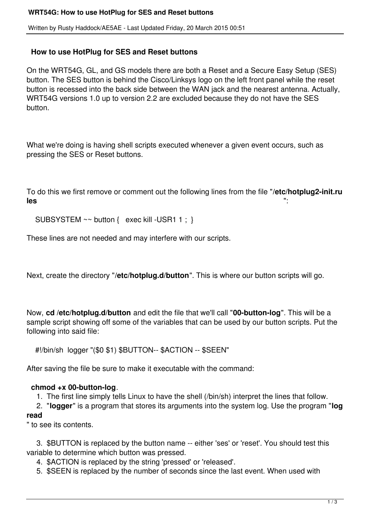Written by Rusty Haddock/AE5AE - Last Updated Friday, 20 March 2015 00:51

## **How to use HotPlug for SES and Reset buttons**

On the WRT54G, GL, and GS models there are both a Reset and a Secure Easy Setup (SES) button. The SES button is behind the Cisco/Linksys logo on the left front panel while the reset button is recessed into the back side between the WAN jack and the nearest antenna. Actually, WRT54G versions 1.0 up to version 2.2 are excluded because they do not have the SES button.

What we're doing is having shell scripts executed whenever a given event occurs, such as pressing the SES or Reset buttons.

To do this we first remove or comment out the following lines from the file "**/etc/hotplug2-init.ru les** ":

SUBSYSTEM ~~ button { exec kill -USR1 1 ; }

These lines are not needed and may interfere with our scripts.

Next, create the directory "**/etc/hotplug.d/button**". This is where our button scripts will go.

Now, **cd /etc/hotplug.d/button** and edit the file that we'll call "**00-button-log**". This will be a sample script showing off some of the variables that can be used by our button scripts. Put the following into said file:

#!/bin/sh logger "(\$0 \$1) \$BUTTON-- \$ACTION -- \$SEEN"

After saving the file be sure to make it executable with the command:

## **chmod +x 00-button-log**.

1. The first line simply tells Linux to have the shell (/bin/sh) interpret the lines that follow.

2. "**logger**" is a program that stores its arguments into the system log. Use the program "**log**

## **read**

" to see its contents.

 3. \$BUTTON is replaced by the button name -- either 'ses' or 'reset'. You should test this variable to determine which button was pressed.

4. \$ACTION is replaced by the string 'pressed' or 'released'.

5. \$SEEN is replaced by the number of seconds since the last event. When used with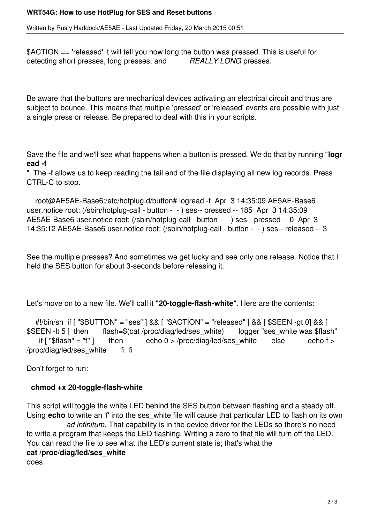Written by Rusty Haddock/AE5AE - Last Updated Friday, 20 March 2015 00:51

\$ACTION == 'released' it will tell you how long the button was pressed. This is useful for detecting short presses, long presses, and *REALLY LONG* presses.

Be aware that the buttons are mechanical devices activating an electrical circuit and thus are subject to bounce. This means that multiple 'pressed' or 'released' events are possible with just a single press or release. Be prepared to deal with this in your scripts.

Save the file and we'll see what happens when a button is pressed. We do that by running "**logr ead -f**

". The -f allows us to keep reading the tail end of the file displaying all new log records. Press CTRL-C to stop.

 root@AE5AE-Base6:/etc/hotplug.d/button# logread -f Apr 3 14:35:09 AE5AE-Base6 user.notice root: (/sbin/hotplug-call - button - - ) ses-- pressed -- 185 Apr 3 14:35:09 AE5AE-Base6 user.notice root: (/sbin/hotplug-call - button - - ) ses-- pressed -- 0 Apr 3 14:35:12 AE5AE-Base6 user.notice root: (/sbin/hotplug-call - button - - ) ses-- released -- 3

See the multiple presses? And sometimes we get lucky and see only one release. Notice that I held the SES button for about 3-seconds before releasing it.

Let's move on to a new file. We'll call it "**20-toggle-flash-white**". Here are the contents:

#!/bin/sh if [ "\$BUTTON" = "ses" ] && [ "\$ACTION" = "released" ] && [ \$SEEN -gt 0] && [<br>\$SEEN -lt 5 ] then flash=\$(cat /proc/diag/led/ses white) logger "ses white was \$flash=\$flash=\$(cat /proc/diag/led/ses white) EEN -lt 5 ] then flash=\$(cat /proc/diag/led/ses\_white) logger "ses\_white was \$flash"<br>if ["\$flash" = "f" ] then echo 0 > /proc/diag/led/ses white else echo f > then  $\qquad$  echo 0 > /proc/diag/led/ses white else echo f > /proc/diag/led/ses\_white fi fi

Don't forget to run:

## **chmod +x 20-toggle-flash-white**

This script will toggle the white LED behind the SES button between flashing and a steady off. Using **echo** to write an 'f' into the ses white file will cause that particular LED to flash on its own *ad infinitum*. That capability is in the device driver for the LEDs so there's no need to write a program that keeps the LED flashing. Writing a zero to that file will turn off the LED. You can read the file to see what the LED's current state is; that's what the **cat /proc/diag/led/ses\_white** does.